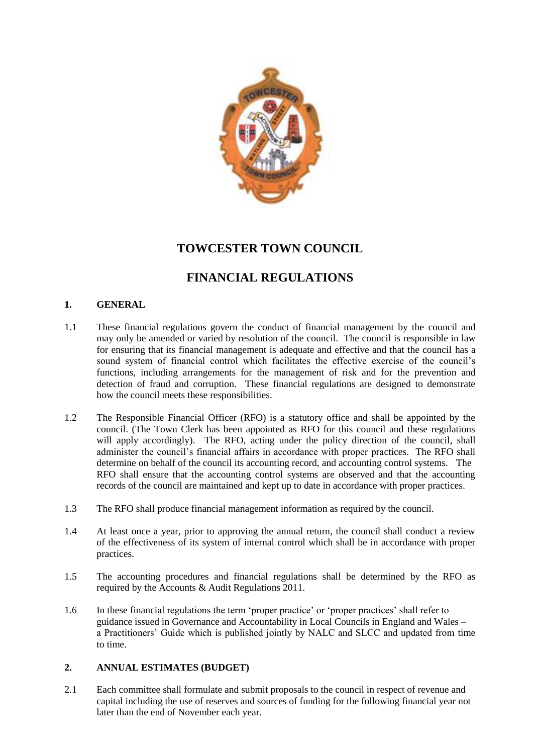

# **TOWCESTER TOWN COUNCIL**

# **FINANCIAL REGULATIONS**

# **1. GENERAL**

- 1.1 These financial regulations govern the conduct of financial management by the council and may only be amended or varied by resolution of the council. The council is responsible in law for ensuring that its financial management is adequate and effective and that the council has a sound system of financial control which facilitates the effective exercise of the council's functions, including arrangements for the management of risk and for the prevention and detection of fraud and corruption. These financial regulations are designed to demonstrate how the council meets these responsibilities.
- 1.2 The Responsible Financial Officer (RFO) is a statutory office and shall be appointed by the council. (The Town Clerk has been appointed as RFO for this council and these regulations will apply accordingly). The RFO, acting under the policy direction of the council, shall administer the council"s financial affairs in accordance with proper practices. The RFO shall determine on behalf of the council its accounting record, and accounting control systems. The RFO shall ensure that the accounting control systems are observed and that the accounting records of the council are maintained and kept up to date in accordance with proper practices.
- 1.3 The RFO shall produce financial management information as required by the council.
- 1.4 At least once a year, prior to approving the annual return, the council shall conduct a review of the effectiveness of its system of internal control which shall be in accordance with proper practices.
- 1.5 The accounting procedures and financial regulations shall be determined by the RFO as required by the Accounts & Audit Regulations 2011.
- 1.6 In these financial regulations the term "proper practice" or "proper practices" shall refer to guidance issued in Governance and Accountability in Local Councils in England and Wales – a Practitioners" Guide which is published jointly by NALC and SLCC and updated from time to time.

## **2. ANNUAL ESTIMATES (BUDGET)**

2.1 Each committee shall formulate and submit proposals to the council in respect of revenue and capital including the use of reserves and sources of funding for the following financial year not later than the end of November each year.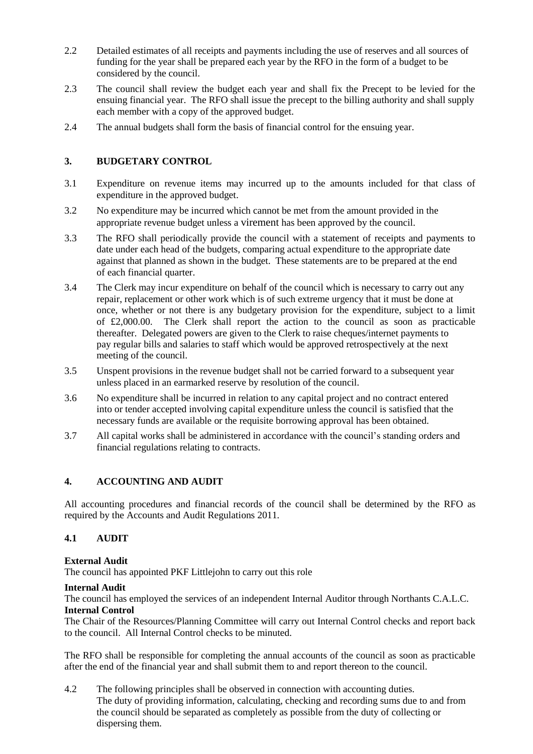- 2.2 Detailed estimates of all receipts and payments including the use of reserves and all sources of funding for the year shall be prepared each year by the RFO in the form of a budget to be considered by the council.
- 2.3 The council shall review the budget each year and shall fix the Precept to be levied for the ensuing financial year. The RFO shall issue the precept to the billing authority and shall supply each member with a copy of the approved budget.
- 2.4 The annual budgets shall form the basis of financial control for the ensuing year.

## **3. BUDGETARY CONTROL**

- 3.1 Expenditure on revenue items may incurred up to the amounts included for that class of expenditure in the approved budget.
- 3.2 No expenditure may be incurred which cannot be met from the amount provided in the appropriate revenue budget unless a virement has been approved by the council.
- 3.3 The RFO shall periodically provide the council with a statement of receipts and payments to date under each head of the budgets, comparing actual expenditure to the appropriate date against that planned as shown in the budget. These statements are to be prepared at the end of each financial quarter.
- 3.4 The Clerk may incur expenditure on behalf of the council which is necessary to carry out any repair, replacement or other work which is of such extreme urgency that it must be done at once, whether or not there is any budgetary provision for the expenditure, subject to a limit of £2,000.00. The Clerk shall report the action to the council as soon as practicable thereafter. Delegated powers are given to the Clerk to raise cheques/internet payments to pay regular bills and salaries to staff which would be approved retrospectively at the next meeting of the council.
- 3.5 Unspent provisions in the revenue budget shall not be carried forward to a subsequent year unless placed in an earmarked reserve by resolution of the council.
- 3.6 No expenditure shall be incurred in relation to any capital project and no contract entered into or tender accepted involving capital expenditure unless the council is satisfied that the necessary funds are available or the requisite borrowing approval has been obtained.
- 3.7 All capital works shall be administered in accordance with the council"s standing orders and financial regulations relating to contracts.

## **4. ACCOUNTING AND AUDIT**

All accounting procedures and financial records of the council shall be determined by the RFO as required by the Accounts and Audit Regulations 2011.

## **4.1 AUDIT**

#### **External Audit**

The council has appointed PKF Littlejohn to carry out this role

#### **Internal Audit**

The council has employed the services of an independent Internal Auditor through Northants C.A.L.C. **Internal Control**

The Chair of the Resources/Planning Committee will carry out Internal Control checks and report back to the council. All Internal Control checks to be minuted.

The RFO shall be responsible for completing the annual accounts of the council as soon as practicable after the end of the financial year and shall submit them to and report thereon to the council.

4.2 The following principles shall be observed in connection with accounting duties. The duty of providing information, calculating, checking and recording sums due to and from the council should be separated as completely as possible from the duty of collecting or dispersing them.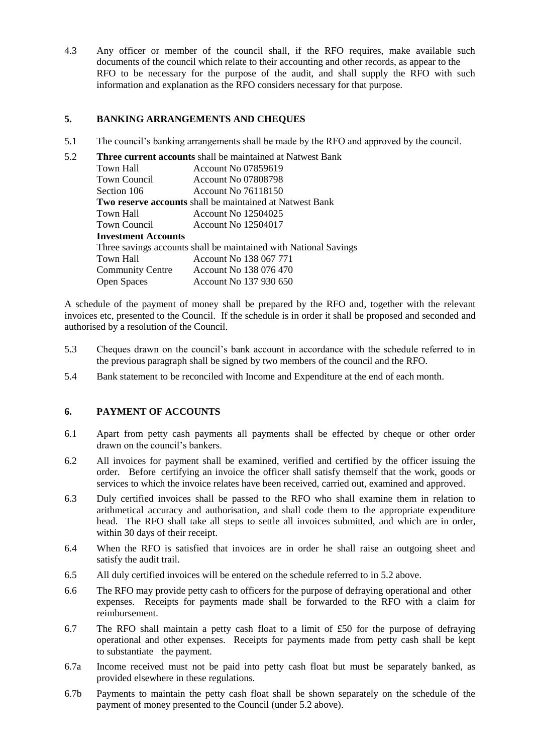4.3 Any officer or member of the council shall, if the RFO requires, make available such documents of the council which relate to their accounting and other records, as appear to the RFO to be necessary for the purpose of the audit, and shall supply the RFO with such information and explanation as the RFO considers necessary for that purpose.

## **5. BANKING ARRANGEMENTS AND CHEQUES**

5.1 The council"s banking arrangements shall be made by the RFO and approved by the council.

| 5.2 | <b>Three current accounts</b> shall be maintained at Natwest Bank |                            |
|-----|-------------------------------------------------------------------|----------------------------|
|     | Town Hall                                                         | <b>Account No 07859619</b> |
|     | Town Council                                                      | Account No 07808798        |
|     | Section 106                                                       | Account No 76118150        |
|     | <b>Two reserve accounts</b> shall be maintained at Natwest Bank   |                            |
|     | Town Hall                                                         | <b>Account No 12504025</b> |
|     | Town Council                                                      | <b>Account No 12504017</b> |
|     | <b>Investment Accounts</b>                                        |                            |
|     | Three savings accounts shall be maintained with National Savings  |                            |
|     | Town Hall                                                         | Account No 138 067 771     |
|     | <b>Community Centre</b>                                           | Account No 138 076 470     |
|     | <b>Open Spaces</b>                                                | Account No 137 930 650     |

A schedule of the payment of money shall be prepared by the RFO and, together with the relevant invoices etc, presented to the Council. If the schedule is in order it shall be proposed and seconded and authorised by a resolution of the Council.

- 5.3 Cheques drawn on the council"s bank account in accordance with the schedule referred to in the previous paragraph shall be signed by two members of the council and the RFO.
- 5.4 Bank statement to be reconciled with Income and Expenditure at the end of each month.

### **6. PAYMENT OF ACCOUNTS**

- 6.1 Apart from petty cash payments all payments shall be effected by cheque or other order drawn on the council's bankers.
- 6.2 All invoices for payment shall be examined, verified and certified by the officer issuing the order. Before certifying an invoice the officer shall satisfy themself that the work, goods or services to which the invoice relates have been received, carried out, examined and approved.
- 6.3 Duly certified invoices shall be passed to the RFO who shall examine them in relation to arithmetical accuracy and authorisation, and shall code them to the appropriate expenditure head. The RFO shall take all steps to settle all invoices submitted, and which are in order, within 30 days of their receipt.
- 6.4 When the RFO is satisfied that invoices are in order he shall raise an outgoing sheet and satisfy the audit trail.
- 6.5 All duly certified invoices will be entered on the schedule referred to in 5.2 above.
- 6.6 The RFO may provide petty cash to officers for the purpose of defraying operational and other expenses. Receipts for payments made shall be forwarded to the RFO with a claim for reimbursement.
- 6.7 The RFO shall maintain a petty cash float to a limit of £50 for the purpose of defraying operational and other expenses. Receipts for payments made from petty cash shall be kept to substantiate the payment.
- 6.7a Income received must not be paid into petty cash float but must be separately banked, as provided elsewhere in these regulations.
- 6.7b Payments to maintain the petty cash float shall be shown separately on the schedule of the payment of money presented to the Council (under 5.2 above).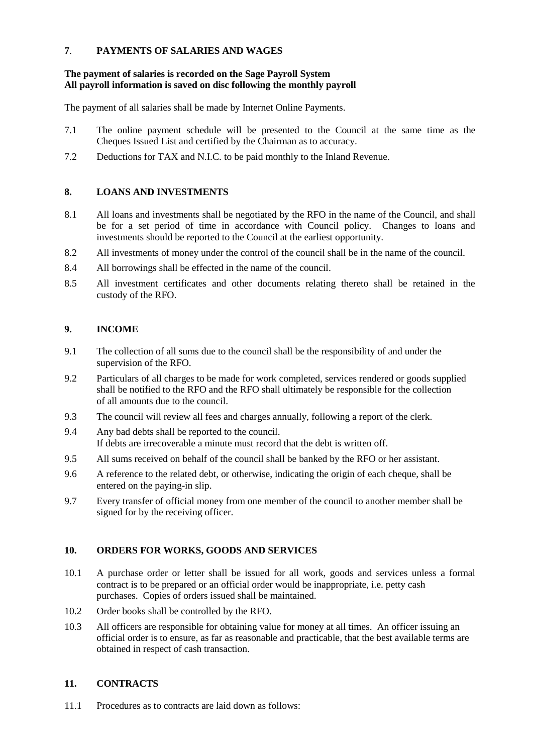## **7**. **PAYMENTS OF SALARIES AND WAGES**

## **The payment of salaries is recorded on the Sage Payroll System All payroll information is saved on disc following the monthly payroll**

The payment of all salaries shall be made by Internet Online Payments.

- 7.1 The online payment schedule will be presented to the Council at the same time as the Cheques Issued List and certified by the Chairman as to accuracy.
- 7.2 Deductions for TAX and N.I.C. to be paid monthly to the Inland Revenue.

## **8. LOANS AND INVESTMENTS**

- 8.1 All loans and investments shall be negotiated by the RFO in the name of the Council, and shall be for a set period of time in accordance with Council policy. Changes to loans and investments should be reported to the Council at the earliest opportunity.
- 8.2 All investments of money under the control of the council shall be in the name of the council.
- 8.4 All borrowings shall be effected in the name of the council.
- 8.5 All investment certificates and other documents relating thereto shall be retained in the custody of the RFO.

## **9. INCOME**

- 9.1 The collection of all sums due to the council shall be the responsibility of and under the supervision of the RFO.
- 9.2 Particulars of all charges to be made for work completed, services rendered or goods supplied shall be notified to the RFO and the RFO shall ultimately be responsible for the collection of all amounts due to the council.
- 9.3 The council will review all fees and charges annually, following a report of the clerk.
- 9.4 Any bad debts shall be reported to the council. If debts are irrecoverable a minute must record that the debt is written off.
- 9.5 All sums received on behalf of the council shall be banked by the RFO or her assistant.
- 9.6 A reference to the related debt, or otherwise, indicating the origin of each cheque, shall be entered on the paying-in slip.
- 9.7 Every transfer of official money from one member of the council to another member shall be signed for by the receiving officer.

## **10. ORDERS FOR WORKS, GOODS AND SERVICES**

- 10.1 A purchase order or letter shall be issued for all work, goods and services unless a formal contract is to be prepared or an official order would be inappropriate, i.e. petty cash purchases. Copies of orders issued shall be maintained.
- 10.2 Order books shall be controlled by the RFO.
- 10.3 All officers are responsible for obtaining value for money at all times. An officer issuing an official order is to ensure, as far as reasonable and practicable, that the best available terms are obtained in respect of cash transaction.

## **11. CONTRACTS**

11.1 Procedures as to contracts are laid down as follows: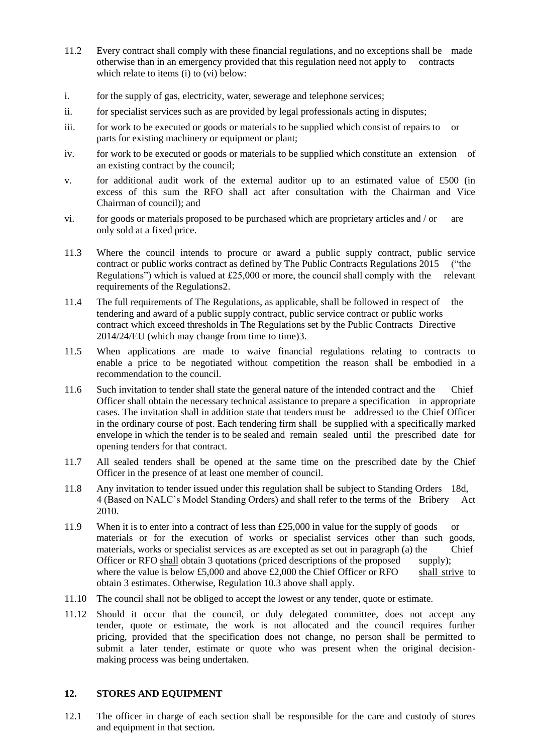- 11.2 Every contract shall comply with these financial regulations, and no exceptions shall be made otherwise than in an emergency provided that this regulation need not apply to contracts which relate to items (i) to (vi) below:
- i. for the supply of gas, electricity, water, sewerage and telephone services;
- ii. for specialist services such as are provided by legal professionals acting in disputes;
- iii. for work to be executed or goods or materials to be supplied which consist of repairs to or parts for existing machinery or equipment or plant;
- iv. for work to be executed or goods or materials to be supplied which constitute an extension of an existing contract by the council;
- v. for additional audit work of the external auditor up to an estimated value of £500 (in excess of this sum the RFO shall act after consultation with the Chairman and Vice Chairman of council); and
- vi. for goods or materials proposed to be purchased which are proprietary articles and / or are only sold at a fixed price.
- 11.3 Where the council intends to procure or award a public supply contract, public service contract or public works contract as defined by The Public Contracts Regulations 2015 ("the Regulations") which is valued at  $£25,000$  or more, the council shall comply with the relevant requirements of the Regulations2.
- 11.4 The full requirements of The Regulations, as applicable, shall be followed in respect of the tendering and award of a public supply contract, public service contract or public works contract which exceed thresholds in The Regulations set by the Public Contracts Directive 2014/24/EU (which may change from time to time)3.
- 11.5 When applications are made to waive financial regulations relating to contracts to enable a price to be negotiated without competition the reason shall be embodied in a recommendation to the council.
- 11.6 Such invitation to tender shall state the general nature of the intended contract and the Chief Officer shall obtain the necessary technical assistance to prepare a specification in appropriate cases. The invitation shall in addition state that tenders must be addressed to the Chief Officer in the ordinary course of post. Each tendering firm shall be supplied with a specifically marked envelope in which the tender is to be sealed and remain sealed until the prescribed date for opening tenders for that contract.
- 11.7 All sealed tenders shall be opened at the same time on the prescribed date by the Chief Officer in the presence of at least one member of council.
- 11.8 Any invitation to tender issued under this regulation shall be subject to Standing Orders 18d, 4 (Based on NALC"s Model Standing Orders) and shall refer to the terms of the Bribery Act 2010.
- 11.9 When it is to enter into a contract of less than £25,000 in value for the supply of goods or materials or for the execution of works or specialist services other than such goods, materials, works or specialist services as are excepted as set out in paragraph (a) the Chief Officer or RFO shall obtain 3 quotations (priced descriptions of the proposed supply); where the value is below £5,000 and above  $£2,000$  the Chief Officer or RFO shall strive to obtain 3 estimates. Otherwise, Regulation 10.3 above shall apply.
- 11.10 The council shall not be obliged to accept the lowest or any tender, quote or estimate.
- 11.12 Should it occur that the council, or duly delegated committee, does not accept any tender, quote or estimate, the work is not allocated and the council requires further pricing, provided that the specification does not change, no person shall be permitted to submit a later tender, estimate or quote who was present when the original decisionmaking process was being undertaken.

#### **12. STORES AND EQUIPMENT**

12.1 The officer in charge of each section shall be responsible for the care and custody of stores and equipment in that section.